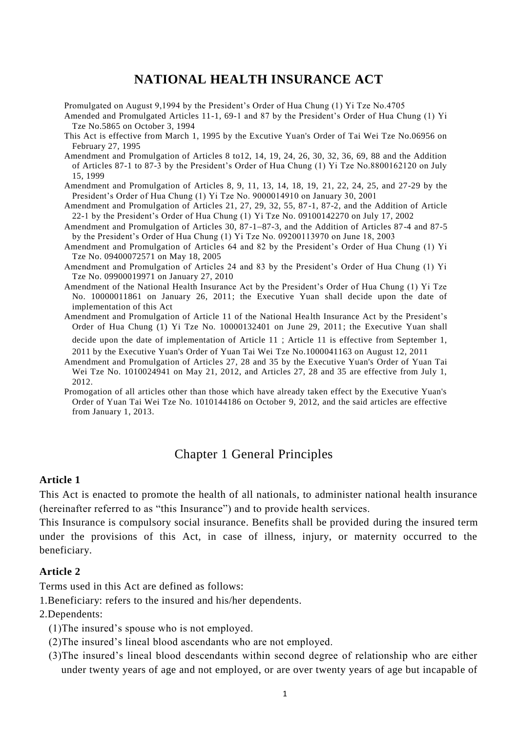# **NATIONAL HEALTH INSURANCE ACT**

- Promulgated on August 9,1994 by the President's Order of Hua Chung (1) Yi Tze No.4705
- Amended and Promulgated Articles 11-1, 69-1 and 87 by the President's Order of Hua Chung (1) Yi Tze No.5865 on October 3, 1994
- This Act is effective from March 1, 1995 by the Excutive Yuan's Order of Tai Wei Tze No.06956 on February 27, 1995
- Amendment and Promulgation of Articles 8 to12, 14, 19, 24, 26, 30, 32, 36, 69, 88 and the Addition of Articles 87-1 to 87-3 by the President's Order of Hua Chung (1) Yi Tze No.8800162120 on July 15, 1999
- Amendment and Promulgation of Articles 8, 9, 11, 13, 14, 18, 19, 21, 22, 24, 25, and 27-29 by the President's Order of Hua Chung (1) Yi Tze No. 9000014910 on January 30, 2001
- Amendment and Promulgation of Articles 21, 27, 29, 32, 55, 87-1, 87-2, and the Addition of Article 22-1 by the President's Order of Hua Chung (1) Yi Tze No. 09100142270 on July 17, 2002
- Amendment and Promulgation of Articles 30, 87-1-87-3, and the Addition of Articles 87-4 and 87-5 by the President's Order of Hua Chung (1) Yi Tze No. 09200113970 on June 18, 2003
- Amendment and Promulgation of Articles 64 and 82 by the President's Order of Hua Chung (1) Yi Tze No. 09400072571 on May 18, 2005
- Amendment and Promulgation of Articles 24 and 83 by the President's Order of Hua Chung (1) Yi Tze No. 09900019971 on January 27, 2010
- Amendment of the National Health Insurance Act by the President's Order of Hua Chung (1) Yi Tze No. 10000011861 on January 26, 2011; the Executive Yuan shall decide upon the date of implementation of this Act
- Amendment and Promulgation of Article 11 of the National Health Insurance Act by the President's Order of Hua Chung (1) Yi Tze No. 10000132401 on June 29, 2011; the Executive Yuan shall

decide upon the date of implementation of Article 11; Article 11 is effective from September 1, 2011 by the Executive Yuan's Order of Yuan Tai Wei Tze No.1000041163 on August 12, 2011

Amendment and Promulgation of Articles 27, 28 and 35 by the Executive Yuan's Order of Yuan Tai Wei Tze No. 1010024941 on May 21, 2012, and Articles 27, 28 and 35 are effective from July 1, 2012.

Promogation of all articles other than those which have already taken effect by the Executive Yuan's Order of Yuan Tai Wei Tze No. 1010144186 on October 9, 2012, and the said articles are effective from January 1, 2013.

# Chapter 1 General Principles

#### **Article 1**

This Act is enacted to promote the health of all nationals, to administer national health insurance (hereinafter referred to as "this Insurance") and to provide health services.

This Insurance is compulsory social insurance. Benefits shall be provided during the insured term under the provisions of this Act, in case of illness, injury, or maternity occurred to the beneficiary.

#### **Article 2**

Terms used in this Act are defined as follows:

- 1.Beneficiary: refers to the insured and his/her dependents.
- 2.Dependents:
	- (1)The insured's spouse who is not employed.
	- (2)The insured's lineal blood ascendants who are not employed.
	- (3)The insured's lineal blood descendants within second degree of relationship who are either under twenty years of age and not employed, or are over twenty years of age but incapable of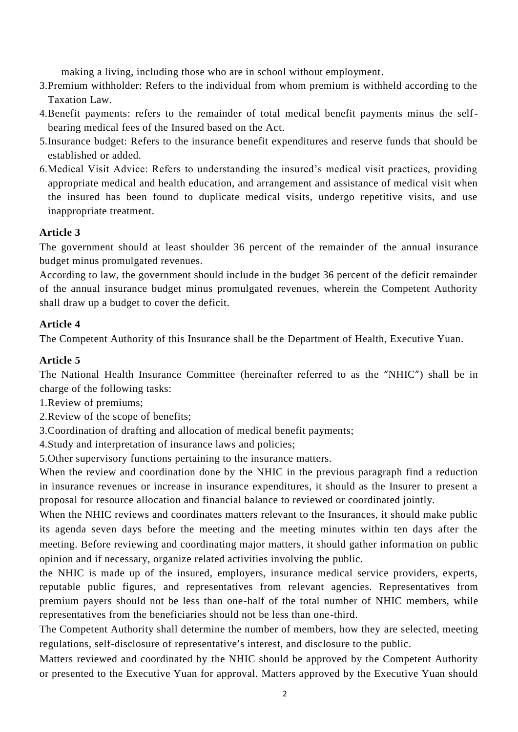making a living, including those who are in school without employment.

- 3.Premium withholder: Refers to the individual from whom premium is withheld according to the Taxation Law.
- 4.Benefit payments: refers to the remainder of total medical benefit payments minus the selfbearing medical fees of the Insured based on the Act.
- 5.Insurance budget: Refers to the insurance benefit expenditures and reserve funds that should be established or added.
- 6.Medical Visit Advice: Refers to understanding the insured's medical visit practices, providing appropriate medical and health education, and arrangement and assistance of medical visit when the insured has been found to duplicate medical visits, undergo repetitive visits, and use inappropriate treatment.

# **Article 3**

The government should at least shoulder 36 percent of the remainder of the annual insurance budget minus promulgated revenues.

According to law, the government should include in the budget 36 percent of the deficit remainder of the annual insurance budget minus promulgated revenues, wherein the Competent Authority shall draw up a budget to cover the deficit.

## **Article 4**

The Competent Authority of this Insurance shall be the Department of Health, Executive Yuan.

# **Article 5**

The National Health Insurance Committee (hereinafter referred to as the "NHIC") shall be in charge of the following tasks:

1.Review of premiums;

2.Review of the scope of benefits;

3.Coordination of drafting and allocation of medical benefit payments;

4.Study and interpretation of insurance laws and policies;

5.Other supervisory functions pertaining to the insurance matters.

When the review and coordination done by the NHIC in the previous paragraph find a reduction in insurance revenues or increase in insurance expenditures, it should as the Insurer to present a proposal for resource allocation and financial balance to reviewed or coordinated jointly.

When the NHIC reviews and coordinates matters relevant to the Insurances, it should make public its agenda seven days before the meeting and the meeting minutes within ten days after the meeting. Before reviewing and coordinating major matters, it should gather information on public opinion and if necessary, organize related activities involving the public.

the NHIC is made up of the insured, employers, insurance medical service providers, experts, reputable public figures, and representatives from relevant agencies. Representatives from premium payers should not be less than one-half of the total number of NHIC members, while representatives from the beneficiaries should not be less than one-third.

The Competent Authority shall determine the number of members, how they are selected, meeting regulations, self-disclosure of representative's interest, and disclosure to the public.

Matters reviewed and coordinated by the NHIC should be approved by the Competent Authority or presented to the Executive Yuan for approval. Matters approved by the Executive Yuan should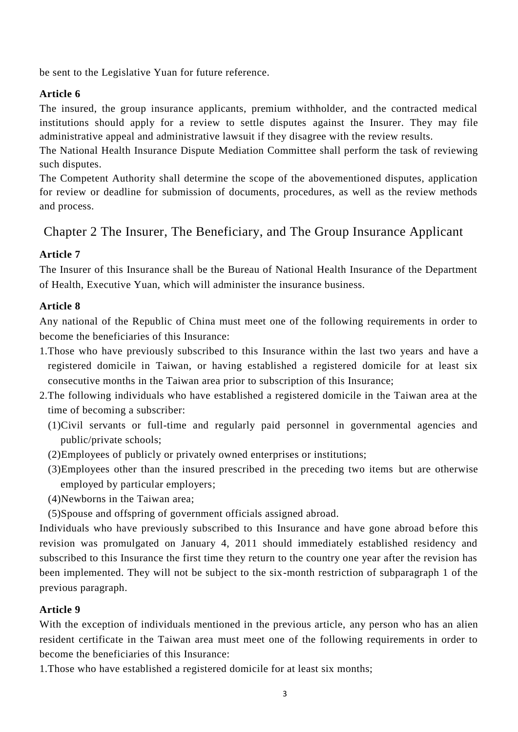be sent to the Legislative Yuan for future reference.

## **Article 6**

The insured, the group insurance applicants, premium withholder, and the contracted medical institutions should apply for a review to settle disputes against the Insurer. They may file administrative appeal and administrative lawsuit if they disagree with the review results.

The National Health Insurance Dispute Mediation Committee shall perform the task of reviewing such disputes.

The Competent Authority shall determine the scope of the abovementioned disputes, application for review or deadline for submission of documents, procedures, as well as the review methods and process.

# Chapter 2 The Insurer, The Beneficiary, and The Group Insurance Applicant

# **Article 7**

The Insurer of this Insurance shall be the Bureau of National Health Insurance of the Department of Health, Executive Yuan, which will administer the insurance business.

## **Article 8**

Any national of the Republic of China must meet one of the following requirements in order to become the beneficiaries of this Insurance:

- 1.Those who have previously subscribed to this Insurance within the last two years and have a registered domicile in Taiwan, or having established a registered domicile for at least six consecutive months in the Taiwan area prior to subscription of this Insurance;
- 2.The following individuals who have established a registered domicile in the Taiwan area at the time of becoming a subscriber:
	- (1)Civil servants or full-time and regularly paid personnel in governmental agencies and public/private schools;
	- (2)Employees of publicly or privately owned enterprises or institutions;
	- (3)Employees other than the insured prescribed in the preceding two items but are otherwise employed by particular employers;
	- (4)Newborns in the Taiwan area;
	- (5)Spouse and offspring of government officials assigned abroad.

Individuals who have previously subscribed to this Insurance and have gone abroad before this revision was promulgated on January 4, 2011 should immediately established residency and subscribed to this Insurance the first time they return to the country one year after the revision has been implemented. They will not be subject to the six-month restriction of subparagraph 1 of the previous paragraph.

## **Article 9**

With the exception of individuals mentioned in the previous article, any person who has an alien resident certificate in the Taiwan area must meet one of the following requirements in order to become the beneficiaries of this Insurance:

1.Those who have established a registered domicile for at least six months;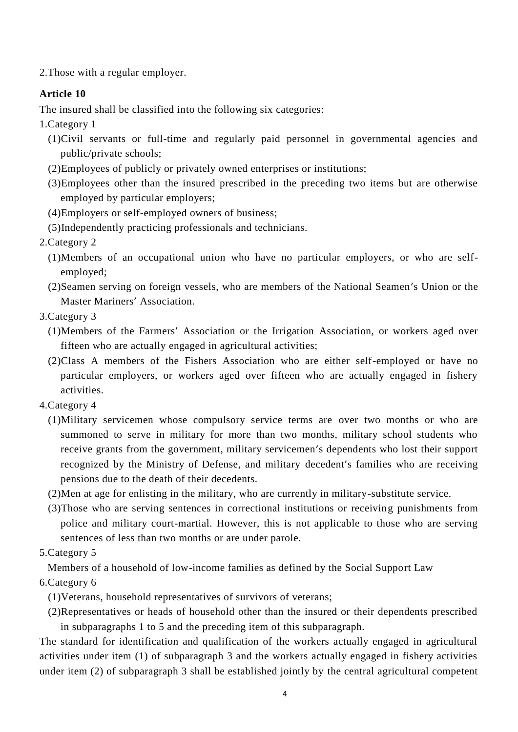2.Those with a regular employer.

# **Article 10**

The insured shall be classified into the following six categories:

- 1.Category 1
	- (1)Civil servants or full-time and regularly paid personnel in governmental agencies and public/private schools;
	- (2)Employees of publicly or privately owned enterprises or institutions;
	- (3)Employees other than the insured prescribed in the preceding two items but are otherwise employed by particular employers;
	- (4)Employers or self-employed owners of business;
	- (5)Independently practicing professionals and technicians.
- 2.Category 2
	- (1)Members of an occupational union who have no particular employers, or who are selfemployed;
	- (2)Seamen serving on foreign vessels, who are members of the National Seamen's Union or the Master Mariners' Association.
- 3.Category 3
	- (1)Members of the Farmers' Association or the Irrigation Association, or workers aged over fifteen who are actually engaged in agricultural activities;
	- (2)Class A members of the Fishers Association who are either self-employed or have no particular employers, or workers aged over fifteen who are actually engaged in fishery activities.
- 4.Category 4
	- (1)Military servicemen whose compulsory service terms are over two months or who are summoned to serve in military for more than two months, military school students who receive grants from the government, military servicemen's dependents who lost their support recognized by the Ministry of Defense, and military decedent's families who are receiving pensions due to the death of their decedents.
	- (2)Men at age for enlisting in the military, who are currently in military-substitute service.
	- (3)Those who are serving sentences in correctional institutions or receiving punishments from police and military court-martial. However, this is not applicable to those who are serving sentences of less than two months or are under parole.
- 5.Category 5

Members of a household of low-income families as defined by the Social Support Law

6.Category 6

(1)Veterans, household representatives of survivors of veterans;

(2)Representatives or heads of household other than the insured or their dependents prescribed in subparagraphs 1 to 5 and the preceding item of this subparagraph.

The standard for identification and qualification of the workers actually engaged in agricultural activities under item (1) of subparagraph 3 and the workers actually engaged in fishery activities under item (2) of subparagraph 3 shall be established jointly by the central agricultural competent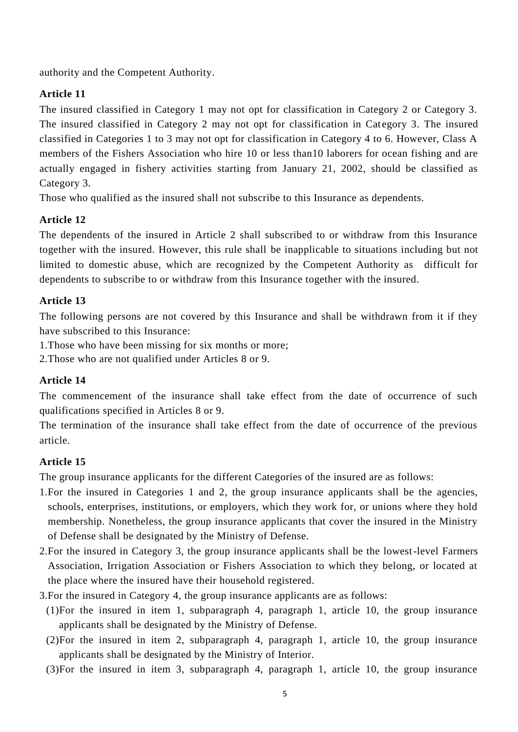authority and the Competent Authority.

# **Article 11**

The insured classified in Category 1 may not opt for classification in Category 2 or Category 3. The insured classified in Category 2 may not opt for classification in Category 3. The insured classified in Categories 1 to 3 may not opt for classification in Category 4 to 6. However, Class A members of the Fishers Association who hire 10 or less than10 laborers for ocean fishing and are actually engaged in fishery activities starting from January 21, 2002, should be classified as Category 3.

Those who qualified as the insured shall not subscribe to this Insurance as dependents.

# **Article 12**

The dependents of the insured in Article 2 shall subscribed to or withdraw from this Insurance together with the insured. However, this rule shall be inapplicable to situations including but not limited to domestic abuse, which are recognized by the Competent Authority as difficult for dependents to subscribe to or withdraw from this Insurance together with the insured.

## **Article 13**

The following persons are not covered by this Insurance and shall be withdrawn from it if they have subscribed to this Insurance:

1.Those who have been missing for six months or more;

2.Those who are not qualified under Articles 8 or 9.

# **Article 14**

The commencement of the insurance shall take effect from the date of occurrence of such qualifications specified in Articles 8 or 9.

The termination of the insurance shall take effect from the date of occurrence of the previous article.

# **Article 15**

The group insurance applicants for the different Categories of the insured are as follows:

- 1.For the insured in Categories 1 and 2, the group insurance applicants shall be the agencies, schools, enterprises, institutions, or employers, which they work for, or unions where they hold membership. Nonetheless, the group insurance applicants that cover the insured in the Ministry of Defense shall be designated by the Ministry of Defense.
- 2.For the insured in Category 3, the group insurance applicants shall be the lowest-level Farmers Association, Irrigation Association or Fishers Association to which they belong, or located at the place where the insured have their household registered.
- 3.For the insured in Category 4, the group insurance applicants are as follows:
	- (1)For the insured in item 1, subparagraph 4, paragraph 1, article 10, the group insurance applicants shall be designated by the Ministry of Defense.
	- (2)For the insured in item 2, subparagraph 4, paragraph 1, article 10, the group insurance applicants shall be designated by the Ministry of Interior.
	- (3)For the insured in item 3, subparagraph 4, paragraph 1, article 10, the group insurance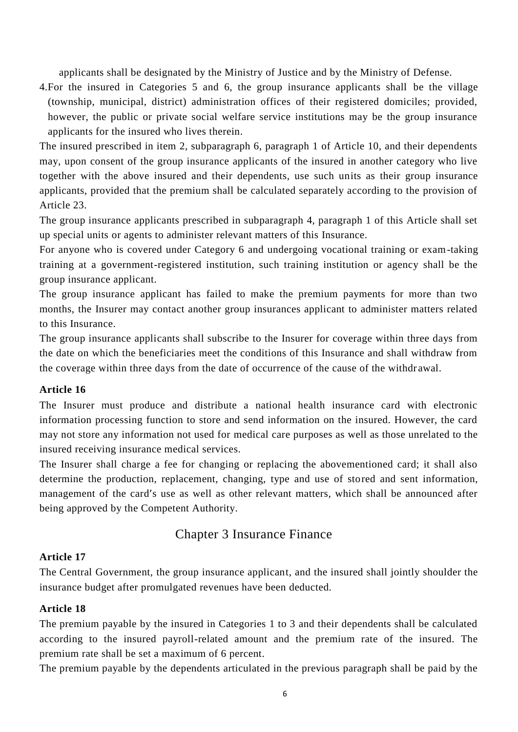applicants shall be designated by the Ministry of Justice and by the Ministry of Defense.

4.For the insured in Categories 5 and 6, the group insurance applicants shall be the village (township, municipal, district) administration offices of their registered domiciles; provided, however, the public or private social welfare service institutions may be the group insurance applicants for the insured who lives therein.

The insured prescribed in item 2, subparagraph 6, paragraph 1 of Article 10, and their dependents may, upon consent of the group insurance applicants of the insured in another category who live together with the above insured and their dependents, use such units as their group insurance applicants, provided that the premium shall be calculated separately according to the provision of Article 23.

The group insurance applicants prescribed in subparagraph 4, paragraph 1 of this Article shall set up special units or agents to administer relevant matters of this Insurance.

For anyone who is covered under Category 6 and undergoing vocational training or exam-taking training at a government-registered institution, such training institution or agency shall be the group insurance applicant.

The group insurance applicant has failed to make the premium payments for more than two months, the Insurer may contact another group insurances applicant to administer matters related to this Insurance.

The group insurance applicants shall subscribe to the Insurer for coverage within three days from the date on which the beneficiaries meet the conditions of this Insurance and shall withdraw from the coverage within three days from the date of occurrence of the cause of the withdr awal.

## **Article 16**

The Insurer must produce and distribute a national health insurance card with electronic information processing function to store and send information on the insured. However, the card may not store any information not used for medical care purposes as well as those unrelated to the insured receiving insurance medical services.

The Insurer shall charge a fee for changing or replacing the abovementioned card; it shall also determine the production, replacement, changing, type and use of stored and sent information, management of the card's use as well as other relevant matters, which shall be announced after being approved by the Competent Authority.

# Chapter 3 Insurance Finance

## **Article 17**

The Central Government, the group insurance applicant, and the insured shall jointly shoulder the insurance budget after promulgated revenues have been deducted.

#### **Article 18**

The premium payable by the insured in Categories 1 to 3 and their dependents shall be calculated according to the insured payroll-related amount and the premium rate of the insured. The premium rate shall be set a maximum of 6 percent.

The premium payable by the dependents articulated in the previous paragraph shall be paid by the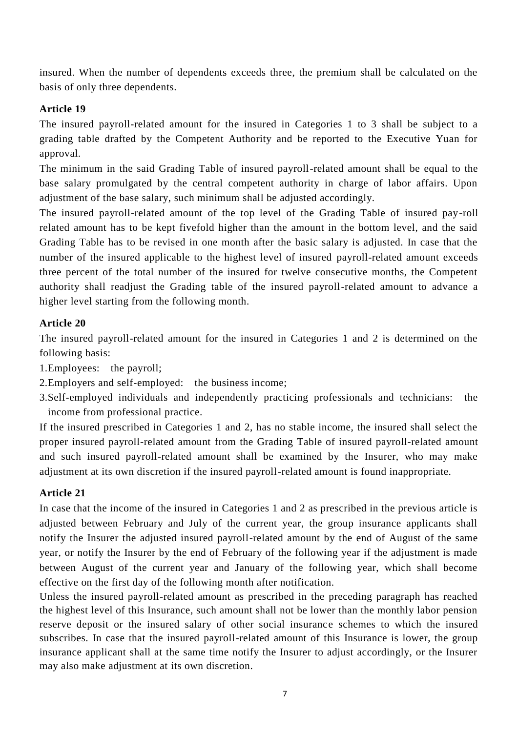insured. When the number of dependents exceeds three, the premium shall be calculated on the basis of only three dependents.

# **Article 19**

The insured payroll-related amount for the insured in Categories 1 to 3 shall be subject to a grading table drafted by the Competent Authority and be reported to the Executive Yuan for approval.

The minimum in the said Grading Table of insured payroll-related amount shall be equal to the base salary promulgated by the central competent authority in charge of labor affairs. Upon adjustment of the base salary, such minimum shall be adjusted accordingly.

The insured payroll-related amount of the top level of the Grading Table of insured pay-roll related amount has to be kept fivefold higher than the amount in the bottom level, and the said Grading Table has to be revised in one month after the basic salary is adjusted. In case that the number of the insured applicable to the highest level of insured payroll-related amount exceeds three percent of the total number of the insured for twelve consecutive months, the Competent authority shall readjust the Grading table of the insured payroll-related amount to advance a higher level starting from the following month.

# **Article 20**

The insured payroll-related amount for the insured in Categories 1 and 2 is determined on the following basis:

1.Employees: the payroll;

2.Employers and self-employed: the business income;

3.Self-employed individuals and independently practicing professionals and technicians: the income from professional practice.

If the insured prescribed in Categories 1 and 2, has no stable income, the insured shall select the proper insured payroll-related amount from the Grading Table of insured payroll-related amount and such insured payroll-related amount shall be examined by the Insurer, who may make adjustment at its own discretion if the insured payroll-related amount is found inappropriate.

# **Article 21**

In case that the income of the insured in Categories 1 and 2 as prescribed in the previous article is adjusted between February and July of the current year, the group insurance applicants shall notify the Insurer the adjusted insured payroll-related amount by the end of August of the same year, or notify the Insurer by the end of February of the following year if the adjustment is made between August of the current year and January of the following year, which shall become effective on the first day of the following month after notification.

Unless the insured payroll-related amount as prescribed in the preceding paragraph has reached the highest level of this Insurance, such amount shall not be lower than the monthly labor pension reserve deposit or the insured salary of other social insurance schemes to which the insured subscribes. In case that the insured payroll-related amount of this Insurance is lower, the group insurance applicant shall at the same time notify the Insurer to adjust accordingly, or the Insurer may also make adjustment at its own discretion.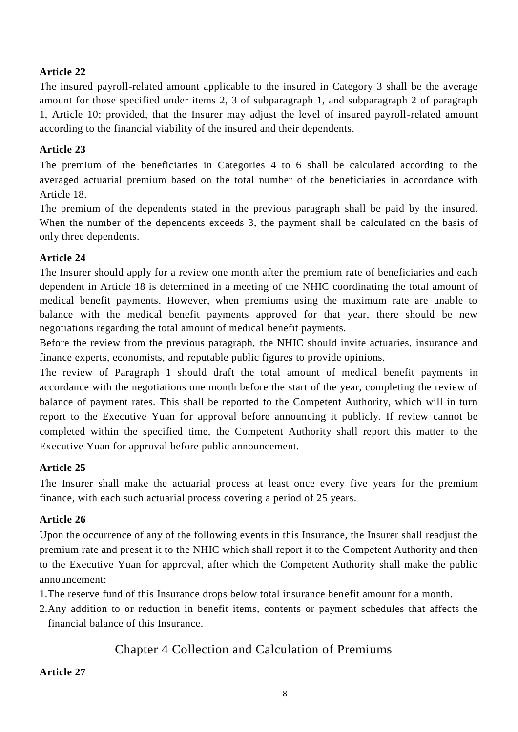## **Article 22**

The insured payroll-related amount applicable to the insured in Category 3 shall be the average amount for those specified under items 2, 3 of subparagraph 1, and subparagraph 2 of paragraph 1, Article 10; provided, that the Insurer may adjust the level of insured payroll-related amount according to the financial viability of the insured and their dependents.

# **Article 23**

The premium of the beneficiaries in Categories 4 to 6 shall be calculated according to the averaged actuarial premium based on the total number of the beneficiaries in accordance with Article 18.

The premium of the dependents stated in the previous paragraph shall be paid by the insured. When the number of the dependents exceeds 3, the payment shall be calculated on the basis of only three dependents.

## **Article 24**

The Insurer should apply for a review one month after the premium rate of beneficiaries and each dependent in Article 18 is determined in a meeting of the NHIC coordinating the total amount of medical benefit payments. However, when premiums using the maximum rate are unable to balance with the medical benefit payments approved for that year, there should be new negotiations regarding the total amount of medical benefit payments.

Before the review from the previous paragraph, the NHIC should invite actuaries, insurance and finance experts, economists, and reputable public figures to provide opinions.

The review of Paragraph 1 should draft the total amount of medical benefit payments in accordance with the negotiations one month before the start of the year, completing the review of balance of payment rates. This shall be reported to the Competent Authority, which will in turn report to the Executive Yuan for approval before announcing it publicly. If review cannot be completed within the specified time, the Competent Authority shall report this matter to the Executive Yuan for approval before public announcement.

## **Article 25**

The Insurer shall make the actuarial process at least once every five years for the premium finance, with each such actuarial process covering a period of 25 years.

## **Article 26**

Upon the occurrence of any of the following events in this Insurance, the Insurer shall readjust the premium rate and present it to the NHIC which shall report it to the Competent Authority and then to the Executive Yuan for approval, after which the Competent Authority shall make the public announcement:

1.The reserve fund of this Insurance drops below total insurance benefit amount for a month.

2.Any addition to or reduction in benefit items, contents or payment schedules that affects the financial balance of this Insurance.

# Chapter 4 Collection and Calculation of Premiums

### **Article 27**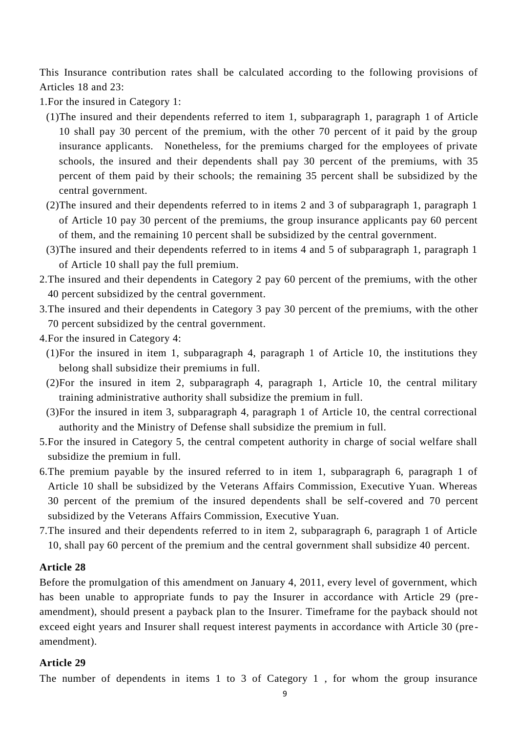This Insurance contribution rates shall be calculated according to the following provisions of Articles 18 and 23:

1.For the insured in Category 1:

- (1)The insured and their dependents referred to item 1, subparagraph 1, paragraph 1 of Article 10 shall pay 30 percent of the premium, with the other 70 percent of it paid by the group insurance applicants. Nonetheless, for the premiums charged for the employees of private schools, the insured and their dependents shall pay 30 percent of the premiums, with 35 percent of them paid by their schools; the remaining 35 percent shall be subsidized by the central government.
- (2)The insured and their dependents referred to in items 2 and 3 of subparagraph 1, paragraph 1 of Article 10 pay 30 percent of the premiums, the group insurance applicants pay 60 percent of them, and the remaining 10 percent shall be subsidized by the central government.
- (3)The insured and their dependents referred to in items 4 and 5 of subparagraph 1, paragraph 1 of Article 10 shall pay the full premium.
- 2.The insured and their dependents in Category 2 pay 60 percent of the premiums, with the other 40 percent subsidized by the central government.
- 3.The insured and their dependents in Category 3 pay 30 percent of the premiums, with the other 70 percent subsidized by the central government.
- 4.For the insured in Category 4:
	- (1)For the insured in item 1, subparagraph 4, paragraph 1 of Article 10, the institutions they belong shall subsidize their premiums in full.
	- (2)For the insured in item 2, subparagraph 4, paragraph 1, Article 10, the central military training administrative authority shall subsidize the premium in full.
	- (3)For the insured in item 3, subparagraph 4, paragraph 1 of Article 10, the central correctional authority and the Ministry of Defense shall subsidize the premium in full.
- 5.For the insured in Category 5, the central competent authority in charge of social welfare shall subsidize the premium in full.
- 6.The premium payable by the insured referred to in item 1, subparagraph 6, paragraph 1 of Article 10 shall be subsidized by the Veterans Affairs Commission, Executive Yuan. Whereas 30 percent of the premium of the insured dependents shall be self-covered and 70 percent subsidized by the Veterans Affairs Commission, Executive Yuan.
- 7.The insured and their dependents referred to in item 2, subparagraph 6, paragraph 1 of Article 10, shall pay 60 percent of the premium and the central government shall subsidize 40 percent.

### **Article 28**

Before the promulgation of this amendment on January 4, 2011, every level of government, which has been unable to appropriate funds to pay the Insurer in accordance with Article 29 (preamendment), should present a payback plan to the Insurer. Timeframe for the payback should not exceed eight years and Insurer shall request interest payments in accordance with Article 30 (pre amendment).

# **Article 29**

The number of dependents in items 1 to 3 of Category 1 , for whom the group insurance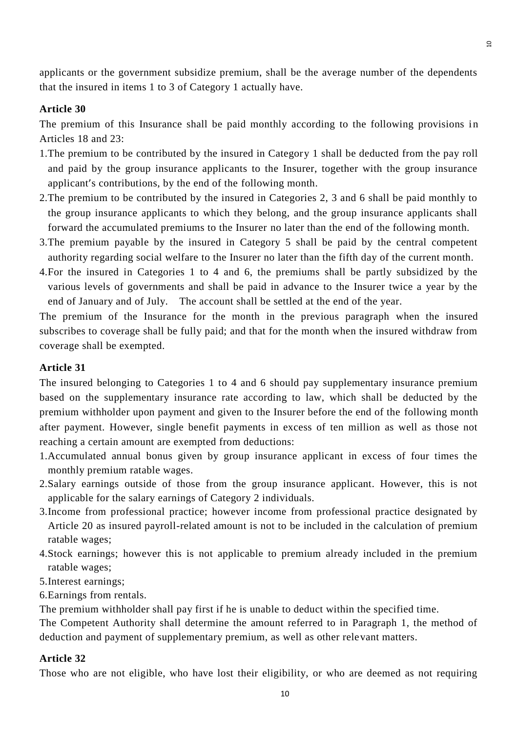applicants or the government subsidize premium, shall be the average number of the dependents that the insured in items 1 to 3 of Category 1 actually have.

## **Article 30**

The premium of this Insurance shall be paid monthly according to the following provisions in Articles 18 and 23:

- 1.The premium to be contributed by the insured in Category 1 shall be deducted from the pay roll and paid by the group insurance applicants to the Insurer, together with the group insurance applicant's contributions, by the end of the following month.
- 2.The premium to be contributed by the insured in Categories 2, 3 and 6 shall be paid monthly to the group insurance applicants to which they belong, and the group insurance applicants shall forward the accumulated premiums to the Insurer no later than the end of the following month.
- 3.The premium payable by the insured in Category 5 shall be paid by the central competent authority regarding social welfare to the Insurer no later than the fifth day of the current month.
- 4.For the insured in Categories 1 to 4 and 6, the premiums shall be partly subsidized by the various levels of governments and shall be paid in advance to the Insurer twice a year by the end of January and of July. The account shall be settled at the end of the year.

The premium of the Insurance for the month in the previous paragraph when the insured subscribes to coverage shall be fully paid; and that for the month when the insured withdraw from coverage shall be exempted.

## **Article 31**

The insured belonging to Categories 1 to 4 and 6 should pay supplementary insurance premium based on the supplementary insurance rate according to law, which shall be deducted by the premium withholder upon payment and given to the Insurer before the end of the following month after payment. However, single benefit payments in excess of ten million as well as those not reaching a certain amount are exempted from deductions:

- 1.Accumulated annual bonus given by group insurance applicant in excess of four times the monthly premium ratable wages.
- 2.Salary earnings outside of those from the group insurance applicant. However, this is not applicable for the salary earnings of Category 2 individuals.
- 3.Income from professional practice; however income from professional practice designated by Article 20 as insured payroll-related amount is not to be included in the calculation of premium ratable wages;
- 4.Stock earnings; however this is not applicable to premium already included in the premium ratable wages;
- 5.Interest earnings;
- 6.Earnings from rentals.

The premium withholder shall pay first if he is unable to deduct within the specified time.

The Competent Authority shall determine the amount referred to in Paragraph 1, the method of deduction and payment of supplementary premium, as well as other relevant matters.

#### **Article 32**

Those who are not eligible, who have lost their eligibility, or who are deemed as not requiring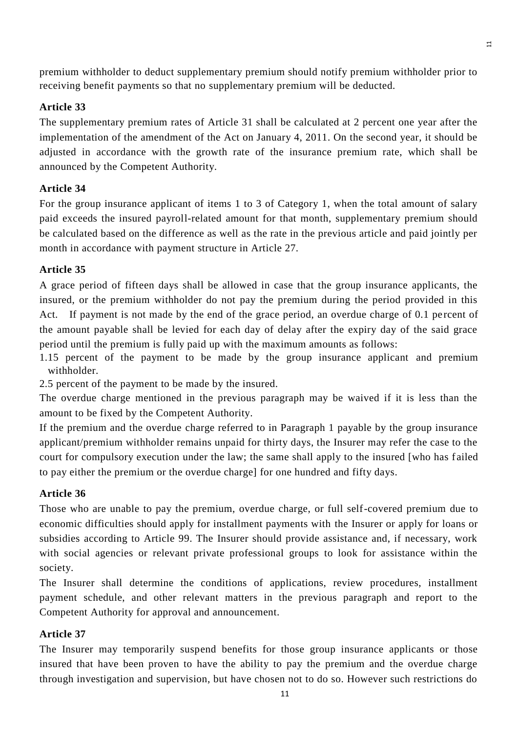premium withholder to deduct supplementary premium should notify premium withholder prior to receiving benefit payments so that no supplementary premium will be deducted.

 $\overline{\mathbf{r}}$ 

# **Article 33**

The supplementary premium rates of Article 31 shall be calculated at 2 percent one year after the implementation of the amendment of the Act on January 4, 2011. On the second year, it should be adjusted in accordance with the growth rate of the insurance premium rate, which shall be announced by the Competent Authority.

# **Article 34**

For the group insurance applicant of items 1 to 3 of Category 1, when the total amount of salary paid exceeds the insured payroll-related amount for that month, supplementary premium should be calculated based on the difference as well as the rate in the previous article and paid jointly per month in accordance with payment structure in Article 27.

# **Article 35**

A grace period of fifteen days shall be allowed in case that the group insurance applicants, the insured, or the premium withholder do not pay the premium during the period provided in this Act. If payment is not made by the end of the grace period, an overdue charge of 0.1 percent of the amount payable shall be levied for each day of delay after the expiry day of the said grace period until the premium is fully paid up with the maximum amounts as follows:

1.15 percent of the payment to be made by the group insurance applicant and premium withholder.

2.5 percent of the payment to be made by the insured.

The overdue charge mentioned in the previous paragraph may be waived if it is less than the amount to be fixed by the Competent Authority.

If the premium and the overdue charge referred to in Paragraph 1 payable by the group insurance applicant/premium withholder remains unpaid for thirty days, the Insurer may refer the case to the court for compulsory execution under the law; the same shall apply to the insured [who has failed to pay either the premium or the overdue charge] for one hundred and fifty days.

# **Article 36**

Those who are unable to pay the premium, overdue charge, or full self-covered premium due to economic difficulties should apply for installment payments with the Insurer or apply for loans or subsidies according to Article 99. The Insurer should provide assistance and, if necessary, work with social agencies or relevant private professional groups to look for assistance within the society.

The Insurer shall determine the conditions of applications, review procedures, installment payment schedule, and other relevant matters in the previous paragraph and report to the Competent Authority for approval and announcement.

# **Article 37**

The Insurer may temporarily suspend benefits for those group insurance applicants or those insured that have been proven to have the ability to pay the premium and the overdue charge through investigation and supervision, but have chosen not to do so. However such restrictions do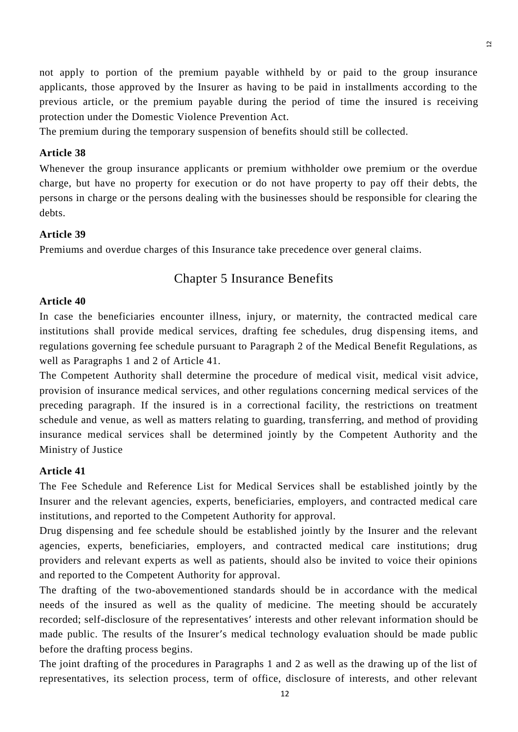not apply to portion of the premium payable withheld by or paid to the group insurance applicants, those approved by the Insurer as having to be paid in installments according to the previous article, or the premium payable during the period of time the insured is receiving protection under the Domestic Violence Prevention Act.

The premium during the temporary suspension of benefits should still be collected.

#### **Article 38**

Whenever the group insurance applicants or premium withholder owe premium or the overdue charge, but have no property for execution or do not have property to pay off their debts, the persons in charge or the persons dealing with the businesses should be responsible for clearing the debts.

### **Article 39**

Premiums and overdue charges of this Insurance take precedence over general claims.

## Chapter 5 Insurance Benefits

#### **Article 40**

In case the beneficiaries encounter illness, injury, or maternity, the contracted medical care institutions shall provide medical services, drafting fee schedules, drug dispensing items, and regulations governing fee schedule pursuant to Paragraph 2 of the Medical Benefit Regulations, as well as Paragraphs 1 and 2 of Article 41.

The Competent Authority shall determine the procedure of medical visit, medical visit advice, provision of insurance medical services, and other regulations concerning medical services of the preceding paragraph. If the insured is in a correctional facility, the restrictions on treatment schedule and venue, as well as matters relating to guarding, transferring, and method of providing insurance medical services shall be determined jointly by the Competent Authority and the Ministry of Justice

#### **Article 41**

The Fee Schedule and Reference List for Medical Services shall be established jointly by the Insurer and the relevant agencies, experts, beneficiaries, employers, and contracted medical care institutions, and reported to the Competent Authority for approval.

Drug dispensing and fee schedule should be established jointly by the Insurer and the relevant agencies, experts, beneficiaries, employers, and contracted medical care institutions; drug providers and relevant experts as well as patients, should also be invited to voice their opinions and reported to the Competent Authority for approval.

The drafting of the two-abovementioned standards should be in accordance with the medical needs of the insured as well as the quality of medicine. The meeting should be accurately recorded; self-disclosure of the representatives' interests and other relevant information should be made public. The results of the Insurer's medical technology evaluation should be made public before the drafting process begins.

The joint drafting of the procedures in Paragraphs 1 and 2 as well as the drawing up of the list of representatives, its selection process, term of office, disclosure of interests, and other relevant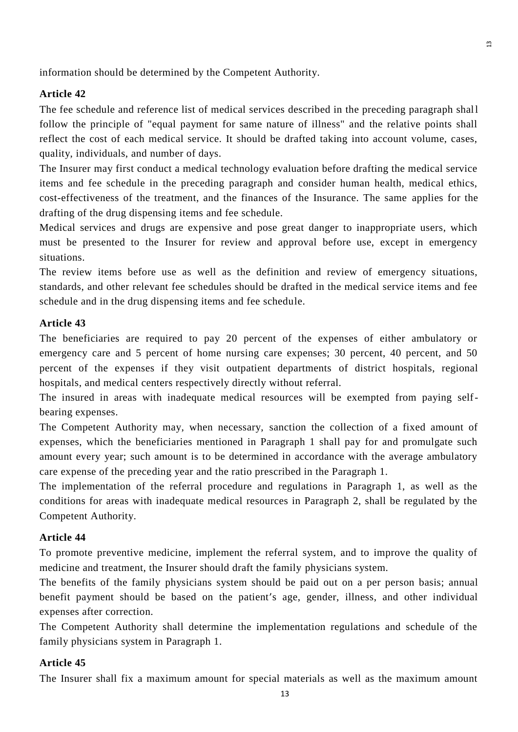information should be determined by the Competent Authority.

#### **Article 42**

The fee schedule and reference list of medical services described in the preceding paragraph shall follow the principle of "equal payment for same nature of illness" and the relative points shall reflect the cost of each medical service. It should be drafted taking into account volume, cases, quality, individuals, and number of days.

The Insurer may first conduct a medical technology evaluation before drafting the medical service items and fee schedule in the preceding paragraph and consider human health, medical ethics, cost-effectiveness of the treatment, and the finances of the Insurance. The same applies for the drafting of the drug dispensing items and fee schedule.

Medical services and drugs are expensive and pose great danger to inappropriate users, which must be presented to the Insurer for review and approval before use, except in emergency situations.

The review items before use as well as the definition and review of emergency situations, standards, and other relevant fee schedules should be drafted in the medical service items and fee schedule and in the drug dispensing items and fee schedule.

### **Article 43**

The beneficiaries are required to pay 20 percent of the expenses of either ambulatory or emergency care and 5 percent of home nursing care expenses; 30 percent, 40 percent, and 50 percent of the expenses if they visit outpatient departments of district hospitals, regional hospitals, and medical centers respectively directly without referral.

The insured in areas with inadequate medical resources will be exempted from paying selfbearing expenses.

The Competent Authority may, when necessary, sanction the collection of a fixed amount of expenses, which the beneficiaries mentioned in Paragraph 1 shall pay for and promulgate such amount every year; such amount is to be determined in accordance with the average ambulatory care expense of the preceding year and the ratio prescribed in the Paragraph 1.

The implementation of the referral procedure and regulations in Paragraph 1, as well as the conditions for areas with inadequate medical resources in Paragraph 2, shall be regulated by the Competent Authority.

## **Article 44**

To promote preventive medicine, implement the referral system, and to improve the quality of medicine and treatment, the Insurer should draft the family physicians system.

The benefits of the family physicians system should be paid out on a per person basis; annual benefit payment should be based on the patient's age, gender, illness, and other individual expenses after correction.

The Competent Authority shall determine the implementation regulations and schedule of the family physicians system in Paragraph 1.

## **Article 45**

The Insurer shall fix a maximum amount for special materials as well as the maximum amount

 $\overline{3}$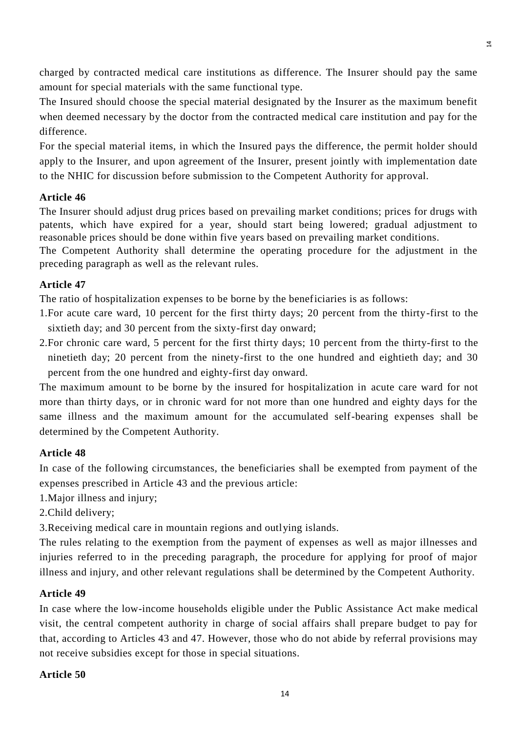charged by contracted medical care institutions as difference. The Insurer should pay the same amount for special materials with the same functional type.

The Insured should choose the special material designated by the Insurer as the maximum benefit when deemed necessary by the doctor from the contracted medical care institution and pay for the difference.

For the special material items, in which the Insured pays the difference, the permit holder should apply to the Insurer, and upon agreement of the Insurer, present jointly with implementation date to the NHIC for discussion before submission to the Competent Authority for approval.

## **Article 46**

The Insurer should adjust drug prices based on prevailing market conditions; prices for drugs with patents, which have expired for a year, should start being lowered; gradual adjustment to reasonable prices should be done within five years based on prevailing market conditions.

The Competent Authority shall determine the operating procedure for the adjustment in the preceding paragraph as well as the relevant rules.

## **Article 47**

The ratio of hospitalization expenses to be borne by the beneficiaries is as follows:

- 1.For acute care ward, 10 percent for the first thirty days; 20 percent from the thirty-first to the sixtieth day; and 30 percent from the sixty-first day onward;
- 2.For chronic care ward, 5 percent for the first thirty days; 10 percent from the thirty-first to the ninetieth day; 20 percent from the ninety-first to the one hundred and eightieth day; and 30 percent from the one hundred and eighty-first day onward.

The maximum amount to be borne by the insured for hospitalization in acute care ward for not more than thirty days, or in chronic ward for not more than one hundred and eighty days for the same illness and the maximum amount for the accumulated self-bearing expenses shall be determined by the Competent Authority.

## **Article 48**

In case of the following circumstances, the beneficiaries shall be exempted from payment of the expenses prescribed in Article 43 and the previous article:

1.Major illness and injury;

2.Child delivery;

3.Receiving medical care in mountain regions and outlying islands.

The rules relating to the exemption from the payment of expenses as well as major illnesses and injuries referred to in the preceding paragraph, the procedure for applying for proof of major illness and injury, and other relevant regulations shall be determined by the Competent Authority.

#### **Article 49**

In case where the low-income households eligible under the Public Assistance Act make medical visit, the central competent authority in charge of social affairs shall prepare budget to pay for that, according to Articles 43 and 47. However, those who do not abide by referral provisions may not receive subsidies except for those in special situations.

#### **Article 50**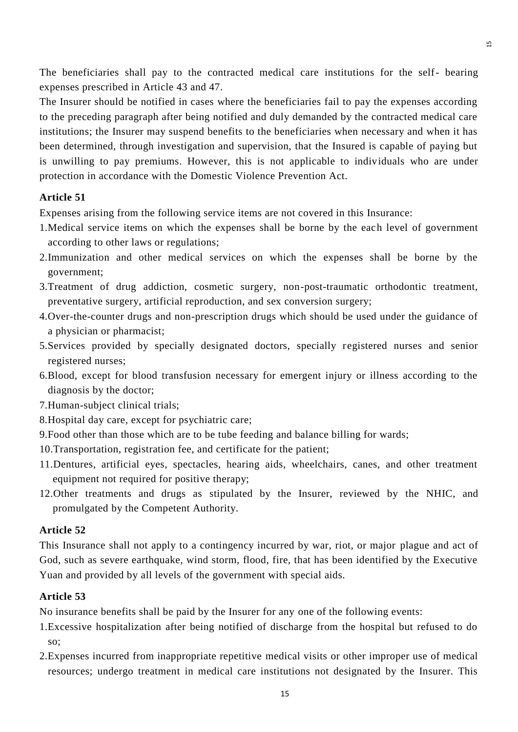The beneficiaries shall pay to the contracted medical care institutions for the self- bearing expenses prescribed in Article 43 and 47.

The Insurer should be notified in cases where the beneficiaries fail to pay the expenses according to the preceding paragraph after being notified and duly demanded by the contracted medical care institutions; the Insurer may suspend benefits to the beneficiaries when necessary and when it has been determined, through investigation and supervision, that the Insured is capable of paying but is unwilling to pay premiums. However, this is not applicable to individuals who are under protection in accordance with the Domestic Violence Prevention Act.

## **Article 51**

Expenses arising from the following service items are not covered in this Insurance:

- 1.Medical service items on which the expenses shall be borne by the each level of government according to other laws or regulations;
- 2.Immunization and other medical services on which the expenses shall be borne by the government;
- 3.Treatment of drug addiction, cosmetic surgery, non-post-traumatic orthodontic treatment, preventative surgery, artificial reproduction, and sex conversion surgery;
- 4.Over-the-counter drugs and non-prescription drugs which should be used under the guidance of a physician or pharmacist;
- 5.Services provided by specially designated doctors, specially registered nurses and senior registered nurses;
- 6.Blood, except for blood transfusion necessary for emergent injury or illness according to the diagnosis by the doctor;
- 7.Human-subject clinical trials;
- 8.Hospital day care, except for psychiatric care;
- 9.Food other than those which are to be tube feeding and balance billing for wards;
- 10.Transportation, registration fee, and certificate for the patient;
- 11.Dentures, artificial eyes, spectacles, hearing aids, wheelchairs, canes, and other treatment equipment not required for positive therapy;
- 12.Other treatments and drugs as stipulated by the Insurer, reviewed by the NHIC, and promulgated by the Competent Authority.

## **Article 52**

This Insurance shall not apply to a contingency incurred by war, riot, or major plague and act of God, such as severe earthquake, wind storm, flood, fire, that has been identified by the Executive Yuan and provided by all levels of the government with special aids.

## **Article 53**

No insurance benefits shall be paid by the Insurer for any one of the following events:

- 1.Excessive hospitalization after being notified of discharge from the hospital but refused to do so;
- 2.Expenses incurred from inappropriate repetitive medical visits or other improper use of medical resources; undergo treatment in medical care institutions not designated by the Insurer. This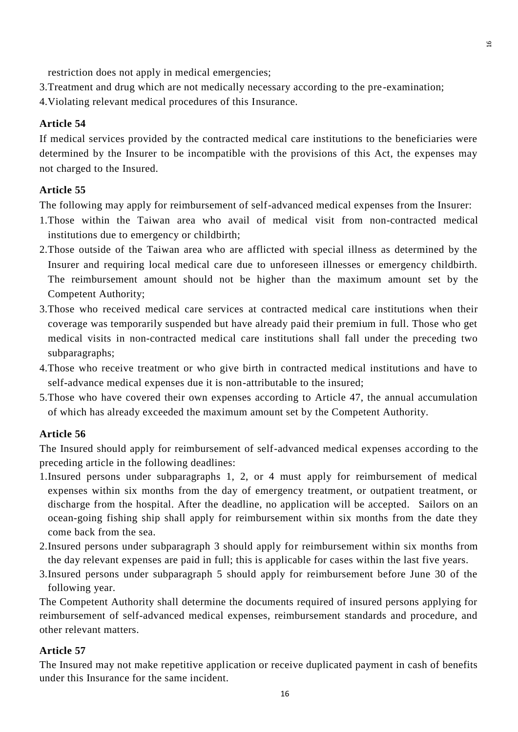restriction does not apply in medical emergencies;

- 3.Treatment and drug which are not medically necessary according to the pre-examination;
- 4.Violating relevant medical procedures of this Insurance.

#### **Article 54**

If medical services provided by the contracted medical care institutions to the beneficiaries were determined by the Insurer to be incompatible with the provisions of this Act, the expenses may not charged to the Insured.

#### **Article 55**

The following may apply for reimbursement of self-advanced medical expenses from the Insurer:

- 1.Those within the Taiwan area who avail of medical visit from non-contracted medical institutions due to emergency or childbirth;
- 2.Those outside of the Taiwan area who are afflicted with special illness as determined by the Insurer and requiring local medical care due to unforeseen illnesses or emergency childbirth. The reimbursement amount should not be higher than the maximum amount set by the Competent Authority;
- 3.Those who received medical care services at contracted medical care institutions when their coverage was temporarily suspended but have already paid their premium in full. Those who get medical visits in non-contracted medical care institutions shall fall under the preceding two subparagraphs;
- 4.Those who receive treatment or who give birth in contracted medical institutions and have to self-advance medical expenses due it is non-attributable to the insured;
- 5.Those who have covered their own expenses according to Article 47, the annual accumulation of which has already exceeded the maximum amount set by the Competent Authority.

#### **Article 56**

The Insured should apply for reimbursement of self-advanced medical expenses according to the preceding article in the following deadlines:

- 1.Insured persons under subparagraphs 1, 2, or 4 must apply for reimbursement of medical expenses within six months from the day of emergency treatment, or outpatient treatment, or discharge from the hospital. After the deadline, no application will be accepted. Sailors on an ocean-going fishing ship shall apply for reimbursement within six months from the date they come back from the sea.
- 2.Insured persons under subparagraph 3 should apply for reimbursement within six months from the day relevant expenses are paid in full; this is applicable for cases within the last five years.
- 3.Insured persons under subparagraph 5 should apply for reimbursement before June 30 of the following year.

The Competent Authority shall determine the documents required of insured persons applying for reimbursement of self-advanced medical expenses, reimbursement standards and procedure, and other relevant matters.

#### **Article 57**

The Insured may not make repetitive application or receive duplicated payment in cash of benefits under this Insurance for the same incident.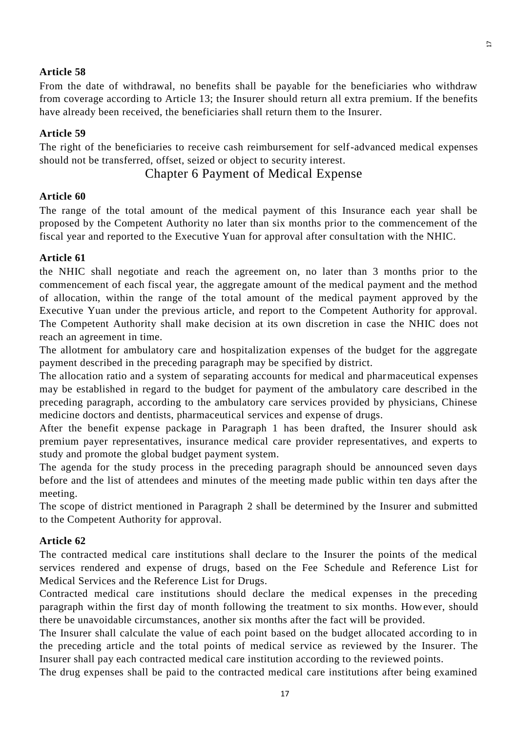### **Article 58**

From the date of withdrawal, no benefits shall be payable for the beneficiaries who withdraw from coverage according to Article 13; the Insurer should return all extra premium. If the benefits have already been received, the beneficiaries shall return them to the Insurer.

### **Article 59**

The right of the beneficiaries to receive cash reimbursement for self-advanced medical expenses should not be transferred, offset, seized or object to security interest.

## Chapter 6 Payment of Medical Expense

### **Article 60**

The range of the total amount of the medical payment of this Insurance each year shall be proposed by the Competent Authority no later than six months prior to the commencement of the fiscal year and reported to the Executive Yuan for approval after consultation with the NHIC.

### **Article 61**

the NHIC shall negotiate and reach the agreement on, no later than 3 months prior to the commencement of each fiscal year, the aggregate amount of the medical payment and the method of allocation, within the range of the total amount of the medical payment approved by the Executive Yuan under the previous article, and report to the Competent Authority for approval. The Competent Authority shall make decision at its own discretion in case the NHIC does not reach an agreement in time.

The allotment for ambulatory care and hospitalization expenses of the budget for the aggregate payment described in the preceding paragraph may be specified by district.

The allocation ratio and a system of separating accounts for medical and pharmaceutical expenses may be established in regard to the budget for payment of the ambulatory care described in the preceding paragraph, according to the ambulatory care services provided by physicians, Chinese medicine doctors and dentists, pharmaceutical services and expense of drugs.

After the benefit expense package in Paragraph 1 has been drafted, the Insurer should ask premium payer representatives, insurance medical care provider representatives, and experts to study and promote the global budget payment system.

The agenda for the study process in the preceding paragraph should be announced seven days before and the list of attendees and minutes of the meeting made public within ten days after the meeting.

The scope of district mentioned in Paragraph 2 shall be determined by the Insurer and submitted to the Competent Authority for approval.

#### **Article 62**

The contracted medical care institutions shall declare to the Insurer the points of the medical services rendered and expense of drugs, based on the Fee Schedule and Reference List for Medical Services and the Reference List for Drugs.

Contracted medical care institutions should declare the medical expenses in the preceding paragraph within the first day of month following the treatment to six months. However, should there be unavoidable circumstances, another six months after the fact will be provided.

The Insurer shall calculate the value of each point based on the budget allocated according to in the preceding article and the total points of medical service as reviewed by the Insurer. The Insurer shall pay each contracted medical care institution according to the reviewed points.

The drug expenses shall be paid to the contracted medical care institutions after being examined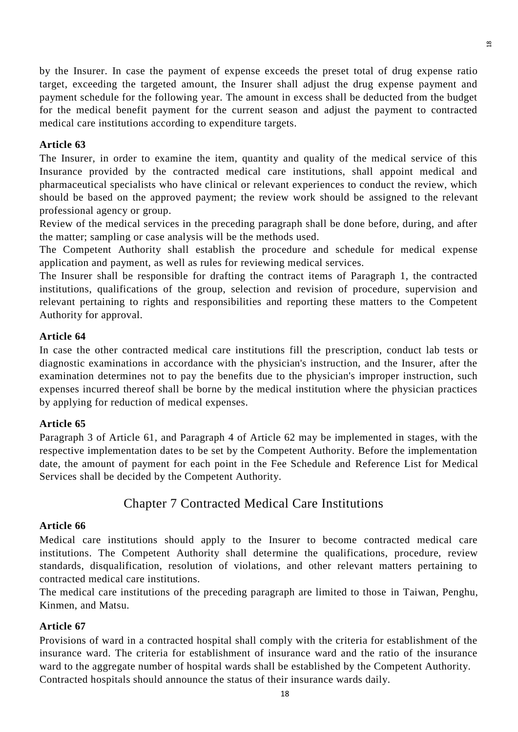by the Insurer. In case the payment of expense exceeds the preset total of drug expense ratio target, exceeding the targeted amount, the Insurer shall adjust the drug expense payment and payment schedule for the following year. The amount in excess shall be deducted from the budget for the medical benefit payment for the current season and adjust the payment to contracted medical care institutions according to expenditure targets.

 $\overline{8}$ 

## **Article 63**

The Insurer, in order to examine the item, quantity and quality of the medical service of this Insurance provided by the contracted medical care institutions, shall appoint medical and pharmaceutical specialists who have clinical or relevant experiences to conduct the review, which should be based on the approved payment; the review work should be assigned to the relevant professional agency or group.

Review of the medical services in the preceding paragraph shall be done before, during, and after the matter; sampling or case analysis will be the methods used.

The Competent Authority shall establish the procedure and schedule for medical expense application and payment, as well as rules for reviewing medical services.

The Insurer shall be responsible for drafting the contract items of Paragraph 1, the contracted institutions, qualifications of the group, selection and revision of procedure, supervision and relevant pertaining to rights and responsibilities and reporting these matters to the Competent Authority for approval.

## **Article 64**

In case the other contracted medical care institutions fill the prescription, conduct lab tests or diagnostic examinations in accordance with the physician's instruction, and the Insurer, after the examination determines not to pay the benefits due to the physician's improper instruction, such expenses incurred thereof shall be borne by the medical institution where the physician practices by applying for reduction of medical expenses.

## **Article 65**

Paragraph 3 of Article 61, and Paragraph 4 of Article 62 may be implemented in stages, with the respective implementation dates to be set by the Competent Authority. Before the implementation date, the amount of payment for each point in the Fee Schedule and Reference List for Medical Services shall be decided by the Competent Authority.

# Chapter 7 Contracted Medical Care Institutions

## **Article 66**

Medical care institutions should apply to the Insurer to become contracted medical care institutions. The Competent Authority shall determine the qualifications, procedure, review standards, disqualification, resolution of violations, and other relevant matters pertaining to contracted medical care institutions.

The medical care institutions of the preceding paragraph are limited to those in Taiwan, Penghu, Kinmen, and Matsu.

## **Article 67**

Provisions of ward in a contracted hospital shall comply with the criteria for establishment of the insurance ward. The criteria for establishment of insurance ward and the ratio of the insurance ward to the aggregate number of hospital wards shall be established by the Competent Authority. Contracted hospitals should announce the status of their insurance wards daily.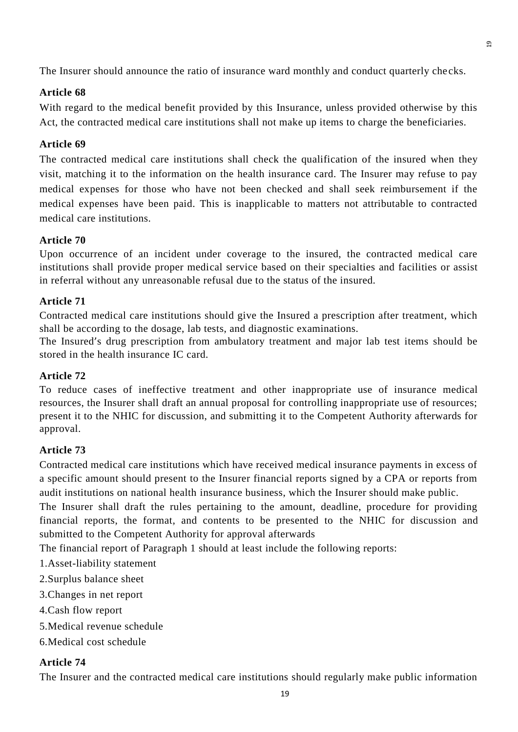The Insurer should announce the ratio of insurance ward monthly and conduct quarterly che cks.

19

## **Article 68**

With regard to the medical benefit provided by this Insurance, unless provided otherwise by this Act, the contracted medical care institutions shall not make up items to charge the beneficiaries.

## **Article 69**

The contracted medical care institutions shall check the qualification of the insured when they visit, matching it to the information on the health insurance card. The Insurer may refuse to pay medical expenses for those who have not been checked and shall seek reimbursement if the medical expenses have been paid. This is inapplicable to matters not attributable to contracted medical care institutions.

## **Article 70**

Upon occurrence of an incident under coverage to the insured, the contracted medical care institutions shall provide proper medical service based on their specialties and facilities or assist in referral without any unreasonable refusal due to the status of the insured.

## **Article 71**

Contracted medical care institutions should give the Insured a prescription after treatment, which shall be according to the dosage, lab tests, and diagnostic examinations.

The Insured's drug prescription from ambulatory treatment and major lab test items should be stored in the health insurance IC card.

## **Article 72**

To reduce cases of ineffective treatment and other inappropriate use of insurance medical resources, the Insurer shall draft an annual proposal for controlling inappropriate use of resources; present it to the NHIC for discussion, and submitting it to the Competent Authority afterwards for approval.

# **Article 73**

Contracted medical care institutions which have received medical insurance payments in excess of a specific amount should present to the Insurer financial reports signed by a CPA or reports from audit institutions on national health insurance business, which the Insurer should make public.

The Insurer shall draft the rules pertaining to the amount, deadline, procedure for providing financial reports, the format, and contents to be presented to the NHIC for discussion and submitted to the Competent Authority for approval afterwards

The financial report of Paragraph 1 should at least include the following reports:

- 1.Asset-liability statement
- 2.Surplus balance sheet
- 3.Changes in net report
- 4.Cash flow report
- 5.Medical revenue schedule
- 6.Medical cost schedule

## **Article 74**

The Insurer and the contracted medical care institutions should regularly make public information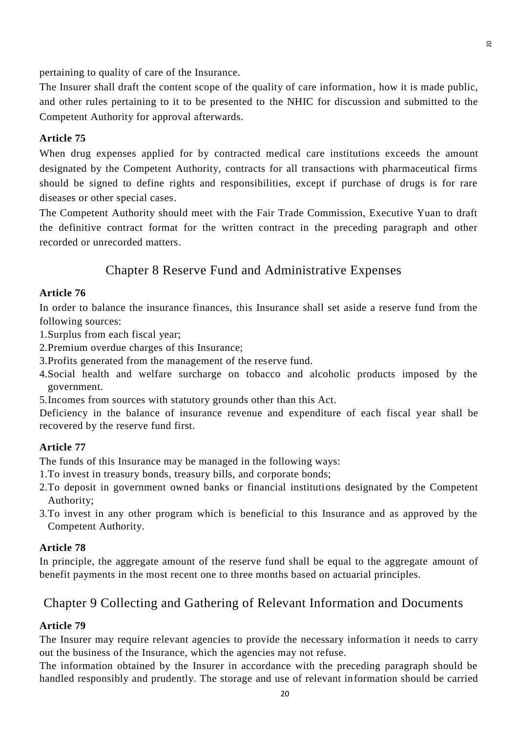pertaining to quality of care of the Insurance.

The Insurer shall draft the content scope of the quality of care information, how it is made public, and other rules pertaining to it to be presented to the NHIC for discussion and submitted to the Competent Authority for approval afterwards.

#### **Article 75**

When drug expenses applied for by contracted medical care institutions exceeds the amount designated by the Competent Authority, contracts for all transactions with pharmaceutical firms should be signed to define rights and responsibilities, except if purchase of drugs is for rare diseases or other special cases.

The Competent Authority should meet with the Fair Trade Commission, Executive Yuan to draft the definitive contract format for the written contract in the preceding paragraph and other recorded or unrecorded matters.

# Chapter 8 Reserve Fund and Administrative Expenses

#### **Article 76**

In order to balance the insurance finances, this Insurance shall set aside a reserve fund from the following sources:

- 1.Surplus from each fiscal year;
- 2.Premium overdue charges of this Insurance;
- 3.Profits generated from the management of the reserve fund.
- 4.Social health and welfare surcharge on tobacco and alcoholic products imposed by the government.
- 5.Incomes from sources with statutory grounds other than this Act.

Deficiency in the balance of insurance revenue and expenditure of each fiscal year shall be recovered by the reserve fund first.

### **Article 77**

The funds of this Insurance may be managed in the following ways:

- 1.To invest in treasury bonds, treasury bills, and corporate bonds;
- 2.To deposit in government owned banks or financial institutions designated by the Competent Authority;
- 3.To invest in any other program which is beneficial to this Insurance and as approved by the Competent Authority.

### **Article 78**

In principle, the aggregate amount of the reserve fund shall be equal to the aggregate amount of benefit payments in the most recent one to three months based on actuarial principles.

# Chapter 9 Collecting and Gathering of Relevant Information and Documents

### **Article 79**

The Insurer may require relevant agencies to provide the necessary information it needs to carry out the business of the Insurance, which the agencies may not refuse.

The information obtained by the Insurer in accordance with the preceding paragraph should be handled responsibly and prudently. The storage and use of relevant information should be carried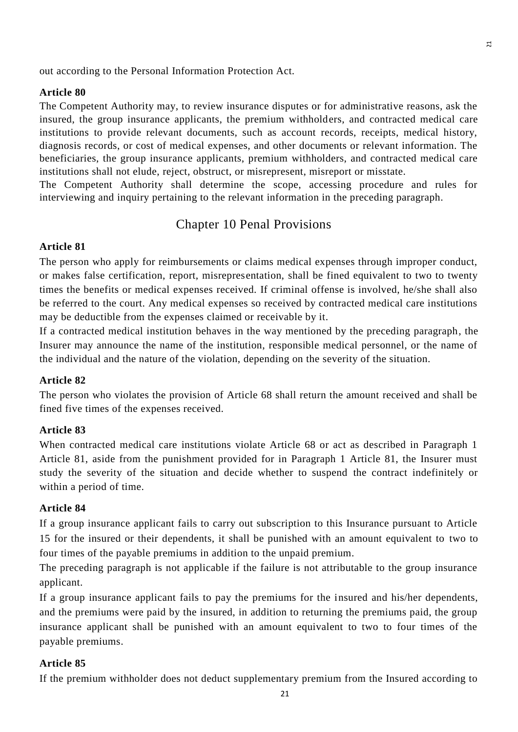out according to the Personal Information Protection Act.

### **Article 80**

The Competent Authority may, to review insurance disputes or for administrative reasons, ask the insured, the group insurance applicants, the premium withholders, and contracted medical care institutions to provide relevant documents, such as account records, receipts, medical history, diagnosis records, or cost of medical expenses, and other documents or relevant information. The beneficiaries, the group insurance applicants, premium withholders, and contracted medical care institutions shall not elude, reject, obstruct, or misrepresent, misreport or misstate.

The Competent Authority shall determine the scope, accessing procedure and rules for interviewing and inquiry pertaining to the relevant information in the preceding paragraph.

# Chapter 10 Penal Provisions

#### **Article 81**

The person who apply for reimbursements or claims medical expenses through improper conduct, or makes false certification, report, misrepresentation, shall be fined equivalent to two to twenty times the benefits or medical expenses received. If criminal offense is involved, he/she shall also be referred to the court. Any medical expenses so received by contracted medical care institutions may be deductible from the expenses claimed or receivable by it.

If a contracted medical institution behaves in the way mentioned by the preceding paragraph, the Insurer may announce the name of the institution, responsible medical personnel, or the name of the individual and the nature of the violation, depending on the severity of the situation.

### **Article 82**

The person who violates the provision of Article 68 shall return the amount received and shall be fined five times of the expenses received.

#### **Article 83**

When contracted medical care institutions violate Article 68 or act as described in Paragraph 1 Article 81, aside from the punishment provided for in Paragraph 1 Article 81, the Insurer must study the severity of the situation and decide whether to suspend the contract indefinitely or within a period of time.

### **Article 84**

If a group insurance applicant fails to carry out subscription to this Insurance pursuant to Article 15 for the insured or their dependents, it shall be punished with an amount equivalent to two to four times of the payable premiums in addition to the unpaid premium.

The preceding paragraph is not applicable if the failure is not attributable to the group insurance applicant.

If a group insurance applicant fails to pay the premiums for the insured and his/her dependents, and the premiums were paid by the insured, in addition to returning the premiums paid, the group insurance applicant shall be punished with an amount equivalent to two to four times of the payable premiums.

#### **Article 85**

If the premium withholder does not deduct supplementary premium from the Insured according to

 $\mathbf{r}$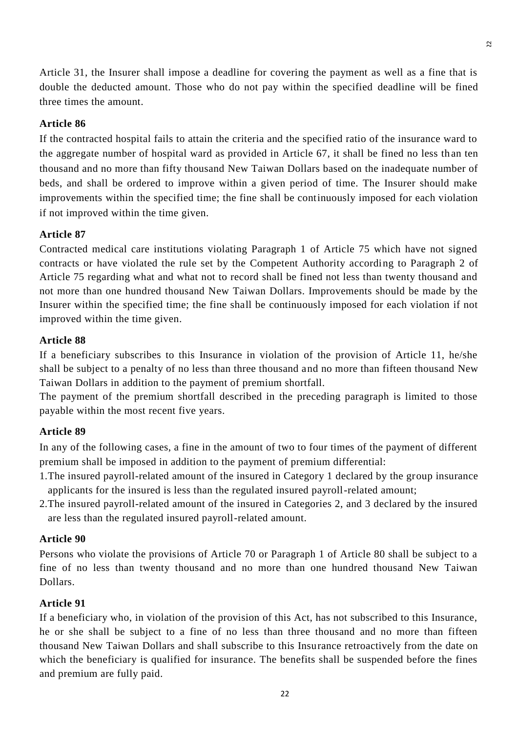Article 31, the Insurer shall impose a deadline for covering the payment as well as a fine that is double the deducted amount. Those who do not pay within the specified deadline will be fined three times the amount.

## **Article 86**

If the contracted hospital fails to attain the criteria and the specified ratio of the insurance ward to the aggregate number of hospital ward as provided in Article 67, it shall be fined no less th an ten thousand and no more than fifty thousand New Taiwan Dollars based on the inadequate number of beds, and shall be ordered to improve within a given period of time. The Insurer should make improvements within the specified time; the fine shall be continuously imposed for each violation if not improved within the time given.

#### **Article 87**

Contracted medical care institutions violating Paragraph 1 of Article 75 which have not signed contracts or have violated the rule set by the Competent Authority according to Paragraph 2 of Article 75 regarding what and what not to record shall be fined not less than twenty thousand and not more than one hundred thousand New Taiwan Dollars. Improvements should be made by the Insurer within the specified time; the fine shall be continuously imposed for each violation if not improved within the time given.

### **Article 88**

If a beneficiary subscribes to this Insurance in violation of the provision of Article 11, he/she shall be subject to a penalty of no less than three thousand and no more than fifteen thousand New Taiwan Dollars in addition to the payment of premium shortfall.

The payment of the premium shortfall described in the preceding paragraph is limited to those payable within the most recent five years.

#### **Article 89**

In any of the following cases, a fine in the amount of two to four times of the payment of different premium shall be imposed in addition to the payment of premium differential:

- 1.The insured payroll-related amount of the insured in Category 1 declared by the group insurance applicants for the insured is less than the regulated insured payroll-related amount;
- 2.The insured payroll-related amount of the insured in Categories 2, and 3 declared by the insured are less than the regulated insured payroll-related amount.

#### **Article 90**

Persons who violate the provisions of Article 70 or Paragraph 1 of Article 80 shall be subject to a fine of no less than twenty thousand and no more than one hundred thousand New Taiwan Dollars.

### **Article 91**

If a beneficiary who, in violation of the provision of this Act, has not subscribed to this Insurance, he or she shall be subject to a fine of no less than three thousand and no more than fifteen thousand New Taiwan Dollars and shall subscribe to this Insurance retroactively from the date on which the beneficiary is qualified for insurance. The benefits shall be suspended before the fines and premium are fully paid.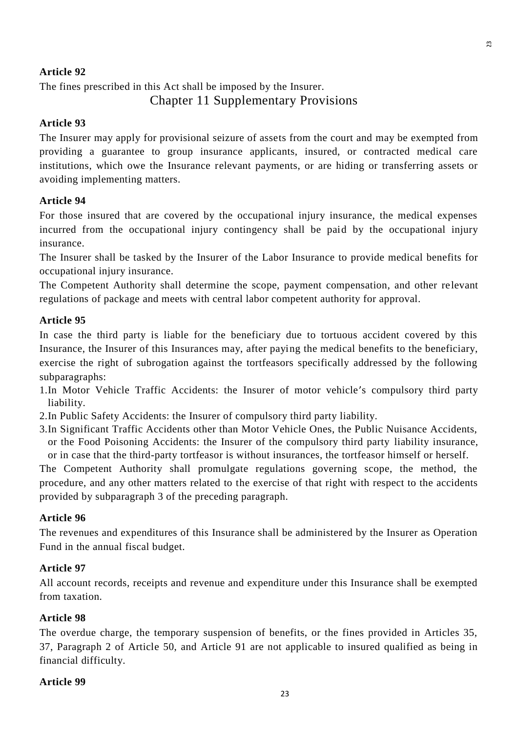## **Article 92**

The fines prescribed in this Act shall be imposed by the Insurer. Chapter 11 Supplementary Provisions

### **Article 93**

The Insurer may apply for provisional seizure of assets from the court and may be exempted from providing a guarantee to group insurance applicants, insured, or contracted medical care institutions, which owe the Insurance relevant payments, or are hiding or transferring assets or avoiding implementing matters.

#### **Article 94**

For those insured that are covered by the occupational injury insurance, the medical expenses incurred from the occupational injury contingency shall be paid by the occupational injury insurance.

The Insurer shall be tasked by the Insurer of the Labor Insurance to provide medical benefits for occupational injury insurance.

The Competent Authority shall determine the scope, payment compensation, and other relevant regulations of package and meets with central labor competent authority for approval.

#### **Article 95**

In case the third party is liable for the beneficiary due to tortuous accident covered by this Insurance, the Insurer of this Insurances may, after paying the medical benefits to the beneficiary, exercise the right of subrogation against the tortfeasors specifically addressed by the following subparagraphs:

- 1.In Motor Vehicle Traffic Accidents: the Insurer of motor vehicle's compulsory third party liability.
- 2.In Public Safety Accidents: the Insurer of compulsory third party liability.
- 3.In Significant Traffic Accidents other than Motor Vehicle Ones, the Public Nuisance Accidents, or the Food Poisoning Accidents: the Insurer of the compulsory third party liability insurance, or in case that the third-party tortfeasor is without insurances, the tortfeasor himself or herself.

The Competent Authority shall promulgate regulations governing scope, the method, the procedure, and any other matters related to the exercise of that right with respect to the accidents provided by subparagraph 3 of the preceding paragraph.

### **Article 96**

The revenues and expenditures of this Insurance shall be administered by the Insurer as Operation Fund in the annual fiscal budget.

#### **Article 97**

All account records, receipts and revenue and expenditure under this Insurance shall be exempted from taxation.

#### **Article 98**

The overdue charge, the temporary suspension of benefits, or the fines provided in Articles 35, 37, Paragraph 2 of Article 50, and Article 91 are not applicable to insured qualified as being in financial difficulty.

#### **Article 99**